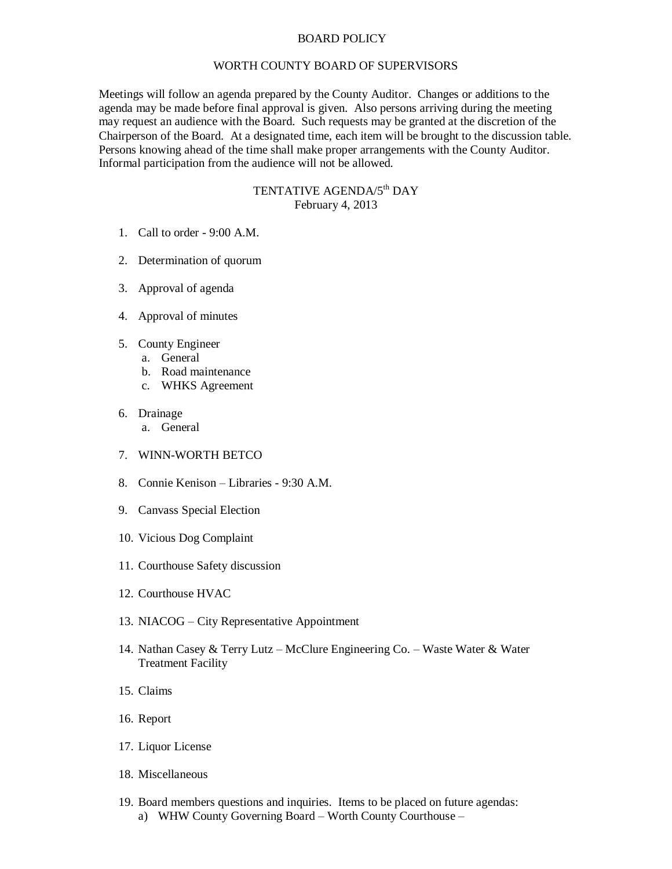## BOARD POLICY

## WORTH COUNTY BOARD OF SUPERVISORS

Meetings will follow an agenda prepared by the County Auditor. Changes or additions to the agenda may be made before final approval is given. Also persons arriving during the meeting may request an audience with the Board. Such requests may be granted at the discretion of the Chairperson of the Board. At a designated time, each item will be brought to the discussion table. Persons knowing ahead of the time shall make proper arrangements with the County Auditor. Informal participation from the audience will not be allowed.

## TENTATIVE AGENDA/5<sup>th</sup> DAY February 4, 2013

- 1. Call to order 9:00 A.M.
- 2. Determination of quorum
- 3. Approval of agenda
- 4. Approval of minutes
- 5. County Engineer
	- a. General
	- b. Road maintenance
	- c. WHKS Agreement
- 6. Drainage
	- a. General
- 7. WINN-WORTH BETCO
- 8. Connie Kenison Libraries 9:30 A.M.
- 9. Canvass Special Election
- 10. Vicious Dog Complaint
- 11. Courthouse Safety discussion
- 12. Courthouse HVAC
- 13. NIACOG City Representative Appointment
- 14. Nathan Casey & Terry Lutz McClure Engineering Co. Waste Water & Water Treatment Facility
- 15. Claims
- 16. Report
- 17. Liquor License
- 18. Miscellaneous
- 19. Board members questions and inquiries. Items to be placed on future agendas: a) WHW County Governing Board – Worth County Courthouse –